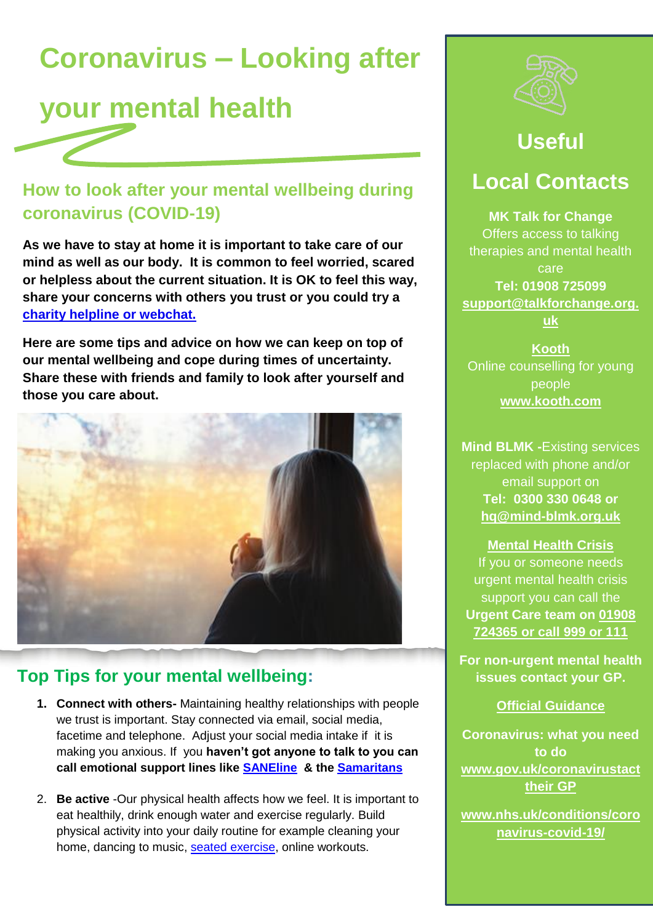# **Coronavirus – Looking after**

# **your mental health**

### **How to look after your mental wellbeing during coronavirus (COVID-19)**

**As we have to stay at home it is important to take care of our mind as well as our body. It is common to feel worried, scared or helpless about the current situation. It is OK to feel this way, share your concerns with others you trust or you could try a [charity helpline or webchat.](https://www.nhs.uk/conditions/stress-anxiety-depression/mental-health-helplines/)**

**Here are some tips and advice on how we can keep on top of our mental wellbeing and cope during times of uncertainty. Share these with friends and family to look after yourself and those you care about.**



### **Top Tips for your mental wellbeing:**

- **1. Connect with others-** Maintaining healthy relationships with people we trust is important. Stay connected via email, social media, facetime and telephone. Adjust your social media intake if it is making you anxious. If you **haven't got anyone to talk to you can call emotional support lines like [SANEline](http://www.sane.org.uk/) & the [Samaritans](file://///Mkc/dfs01/shared/Public_Health/Health%20Improvement/Mental%20health.%20suicide/Mental%20Health/Heads%20up%20MK&Beds/Newsletter/Issue%201%20-%20Depression/www.samaritans.org/)**
- 2. **Be active** -Our physical health affects how we feel. It is important to eat healthily, drink enough water and exercise regularly. Build physical activity into your daily routine for example cleaning your home, dancing to music, [seated exercise,](https://www.nhs.uk/live-well/exercise/sitting-exercises/) online workouts.



## **Useful**

### **Local Contacts**

**[MK Talk for Change](https://www.talkforchange.org.uk/)**  Offers access to talking therapies and mental health care **Tel: 01908 725099 [support@talkforchange.org.](mailto:support@talkforchange.org.uk) [uk](mailto:support@talkforchange.org.uk)**

**Kooth** Online counselling for young people **www.kooth.com**

**Mind BLMK -**Existing services replaced with phone and/or email support on **Tel: 0300 330 0648 or [hq@mind-blmk.org.uk](mailto:hq@mind-blmk.org.uk)**

**Mental Health Crisis**  If you or someone needs urgent mental health crisis support you can call the **Urgent Care team on 01908 724365 or call 999 or 111**

**For non-urgent mental health issues contact your GP.**

#### **Official Guidance**

**Coronavirus: what you need to do www.gov.uk/coronavirustact their GP**

**[www.nhs.uk/conditions/coro](https://www.nhs.uk/conditions/coronavirus-covid-19/) [navirus-covid-19/](https://www.nhs.uk/conditions/coronavirus-covid-19/)**